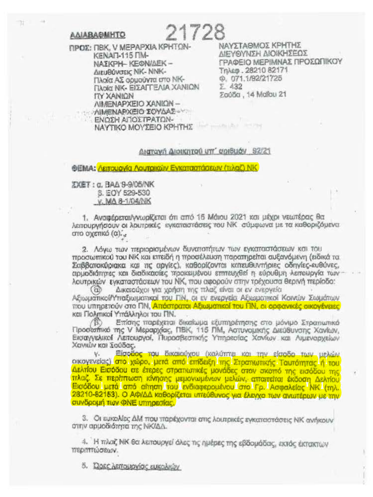## **AAIABA@MHTO**

ΠΡΟΣ: ΠΒΚ. V ΜΕΡΑΡΧΙΑ ΚΡΗΤΩΝ-**KENAD-115 FIM-**ΝΑΣΚΡΗ-ΚΕΦΝΙΔΕΚ-Διευθύνσεις ΝΚ- ΝΝΚ-Πλοία ΑΣ ορμούντα στο ΝΚ-Πλοία ΝΚ - ΕΙΣΑΓΓΕΛΙΑ ΧΑΝΙΟΝ **ITY XANION** ΛΗΛΕΝΑΡΧΕΙΟ ΧΑΝΙΩΝ --AIMENARXEIO IOYAAE ΕΝΩΣΗ ΑΠΟΣΤΡΑΤΩΝ-

ΝΑΥΣΤΑΘΜΟΣ ΚΡΗΤΗΣ **ΠΕΛΘΛΙΛΣΗ ΥΙΟΙΚΗΣΕΟΣ** ΓΡΑΦΕΙΟ ΜΕΡΙΜΝΑΣ ΠΡΟΣΩΠΙΚΟΥ Τηλεφ. 28210 82171 Φ. 071.1/92/21725 Σ 432 Σούδα, 14 Μαΐου 21

ΝΑΥΤΙΚΟ ΜΟΥΣΕΙΟ ΚΡΗΤΗΣ

## Διατονή Διοικητού υπ' φοιθμόν 92/21

21728

ΦΕΜΑ: Λειτουργία Λουτρικών Ενκαταστάσεων (τιλαζ) NK

**ZXET: a. BAA 9-9/05/NK** 8. EOY 529-530 V. MA 8-1/04/NK

1. Αναφέρεται/γνωρίζεται ότι από 16 Μάιου 2021 και μέχρι νεωτέρας θα λειτουργήσουν οι λουτρικές εγκαταστάσεις του ΝΚ σύμφωνα με τα καθοριζόμενα στο οχετικό (α)...

2. Λόγω των περιορισμένων δυνατοτήτων των εγκαταστάσεων και του προσωπικού του ΝΚ και επειδή η προσέλευση παρατηρείται αυξανόμενη (ειδικά τα Σαββατοκύριακα και τις αργίες), καθορίζονται κατευθυντήριες οδηγίες-ευθύνες. αρμοδιότητες και διαδικασίες προκειμένου επιτευχθεί η εύρυθμη λειτουργία των λουτρικών ενκαταστόσεων του ΝΚ, που αφορούν στην τρέχουσα θερινή περίοδο:

Δικαιούχοι για χρήση της πλαζ είναι οι εν ενεογεία Αξιωματικοί/Υπαξιωματικοί του ΓΙΝ, οι εν ενεργεία Αξιωματικοί Κοινών Σωμάτων που υπηρετούν στο ΓΙΝ, Απόστρατοι Αξιωματικοί του ΓΙΝ, οι ορφανικές οικονένειες και Πολιτικοί Υπάλληλοι του ΠΝ.

Επίσης παρέχεται δικαίωμα εξυπηρέτησης στο μόνιμο Στρατιωτικό Προσασπικό της V Μεραρχίας, ΠΒΚ, 115 ΠΜ, Αστυνομικής Διεύθυνσης Χανίων, Εισαγγελικοί Λειτουργοί, Πυροσβεστικής Υπηρεσίας Χανίων και Αιμεναρχείων Χανιών και Σούδας.

Είσοδος του δικαιούχου (καλύπτει και την είσοδο των μελών ٧. οικογενείας) στο χώρο, μετά από επίδειξη της Στρατιωτικής Τουτόπιτας ή του Δελτίου Εισόδου σε έτερες στρατιωτικές μονάδες στον σκοπό της εισόδου της πλαζ. Σε περίπτωση κίνησης μεμονωμένων μελών, απαιτείται έκδοση Δελτίου Εισόδου μετά από αίτηση του ενδιαφερομένου στο Γρ. Ασφαλείας ΝΚ (τηλ. 28210-82153). Ο ΑΦΙΔΔ καθορίζεται υπεύθυνος για έλεγχο των ανωτέρων με την συνδρομή των ΦΝΕ υπηρεσίας.

3. Οι ευκολίες ΔΜ που παρέχονται στις λοιπρικές ενκαταστάσεις ΝΚ ανήκουν στην αρμοδιότητα της ΝΚ/ΔΔ.

4. Η πλαζ ΝΙΚ θα λειτουργεί άλες τις ημέρες της εβδομάδας, εκτός έκτακτων περιπτώσεων.

5. Dosc Astroupvicic Europeuv